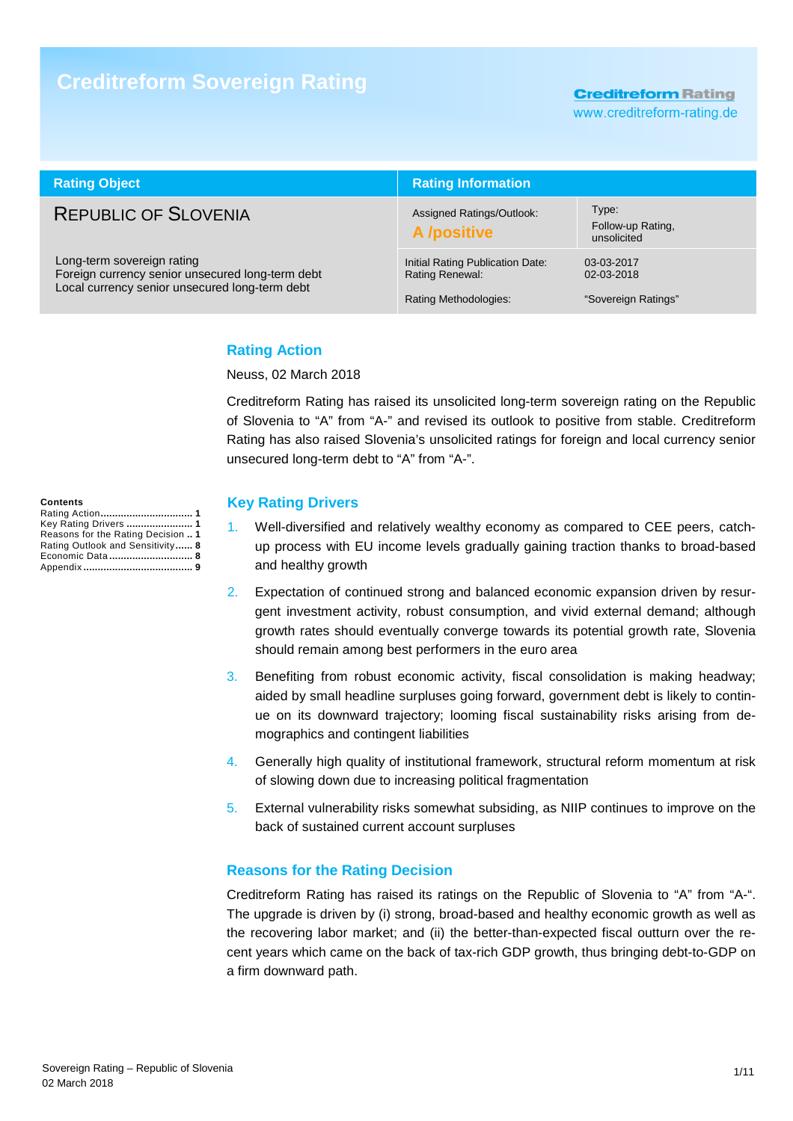# **Creditreform Sovereign Rating**

**Creditreform Rating** 

www.creditreform-rating.de

| <b>Rating Object</b>                                                                                                             | <b>Rating Information</b>                                                           |                                                 |  |  |
|----------------------------------------------------------------------------------------------------------------------------------|-------------------------------------------------------------------------------------|-------------------------------------------------|--|--|
| <b>REPUBLIC OF SLOVENIA</b>                                                                                                      | Assigned Ratings/Outlook:<br>A /positive                                            | Type:<br>Follow-up Rating,<br>unsolicited       |  |  |
| Long-term sovereign rating<br>Foreign currency senior unsecured long-term debt<br>Local currency senior unsecured long-term debt | Initial Rating Publication Date:<br><b>Rating Renewal:</b><br>Rating Methodologies: | 03-03-2017<br>02-03-2018<br>"Sovereign Ratings" |  |  |

#### **Rating Action**

Neuss, 02 March 2018

Creditreform Rating has raised its unsolicited long-term sovereign rating on the Republic of Slovenia to "A" from "A-" and revised its outlook to positive from stable. Creditreform Rating has also raised Slovenia's unsolicited ratings for foreign and local currency senior unsecured long-term debt to "A" from "A-".

#### **Key Rating Drivers**

- 1. Well-diversified and relatively wealthy economy as compared to CEE peers, catchup process with EU income levels gradually gaining traction thanks to broad-based and healthy growth
- 2. Expectation of continued strong and balanced economic expansion driven by resurgent investment activity, robust consumption, and vivid external demand; although growth rates should eventually converge towards its potential growth rate, Slovenia should remain among best performers in the euro area
- 3. Benefiting from robust economic activity, fiscal consolidation is making headway; aided by small headline surpluses going forward, government debt is likely to continue on its downward trajectory; looming fiscal sustainability risks arising from demographics and contingent liabilities
- 4. Generally high quality of institutional framework, structural reform momentum at risk of slowing down due to increasing political fragmentation
- 5. External vulnerability risks somewhat subsiding, as NIIP continues to improve on the back of sustained current account surpluses

#### **Reasons for the Rating Decision**

Creditreform Rating has raised its ratings on the Republic of Slovenia to "A" from "A-". The upgrade is driven by (i) strong, broad-based and healthy economic growth as well as the recovering labor market; and (ii) the better-than-expected fiscal outturn over the recent years which came on the back of tax-rich GDP growth, thus bringing debt-to-GDP on a firm downward path.

**Contents**  Rating Action **................................ 1** Key Rating Drivers **....................... 1** Reasons for the Rating Decision **.. 1** Rating Outlook and Sensitivity **...... 8** Economic Data **............................. 8** Appendix **...................................... 9**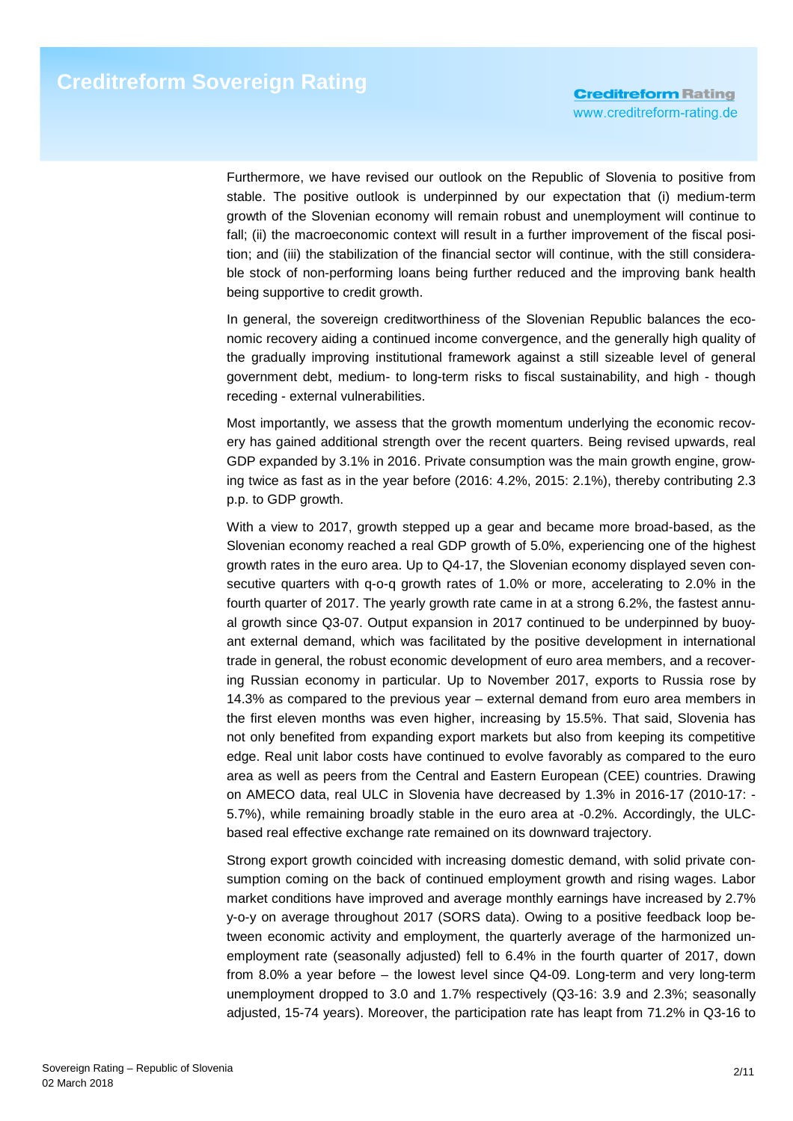Furthermore, we have revised our outlook on the Republic of Slovenia to positive from stable. The positive outlook is underpinned by our expectation that (i) medium-term growth of the Slovenian economy will remain robust and unemployment will continue to fall; (ii) the macroeconomic context will result in a further improvement of the fiscal position; and (iii) the stabilization of the financial sector will continue, with the still considerable stock of non-performing loans being further reduced and the improving bank health being supportive to credit growth.

In general, the sovereign creditworthiness of the Slovenian Republic balances the economic recovery aiding a continued income convergence, and the generally high quality of the gradually improving institutional framework against a still sizeable level of general government debt, medium- to long-term risks to fiscal sustainability, and high - though receding - external vulnerabilities.

Most importantly, we assess that the growth momentum underlying the economic recovery has gained additional strength over the recent quarters. Being revised upwards, real GDP expanded by 3.1% in 2016. Private consumption was the main growth engine, growing twice as fast as in the year before (2016: 4.2%, 2015: 2.1%), thereby contributing 2.3 p.p. to GDP growth.

With a view to 2017, growth stepped up a gear and became more broad-based, as the Slovenian economy reached a real GDP growth of 5.0%, experiencing one of the highest growth rates in the euro area. Up to Q4-17, the Slovenian economy displayed seven consecutive quarters with q-o-q growth rates of 1.0% or more, accelerating to 2.0% in the fourth quarter of 2017. The yearly growth rate came in at a strong 6.2%, the fastest annual growth since Q3-07. Output expansion in 2017 continued to be underpinned by buoyant external demand, which was facilitated by the positive development in international trade in general, the robust economic development of euro area members, and a recovering Russian economy in particular. Up to November 2017, exports to Russia rose by 14.3% as compared to the previous year – external demand from euro area members in the first eleven months was even higher, increasing by 15.5%. That said, Slovenia has not only benefited from expanding export markets but also from keeping its competitive edge. Real unit labor costs have continued to evolve favorably as compared to the euro area as well as peers from the Central and Eastern European (CEE) countries. Drawing on AMECO data, real ULC in Slovenia have decreased by 1.3% in 2016-17 (2010-17: - 5.7%), while remaining broadly stable in the euro area at -0.2%. Accordingly, the ULCbased real effective exchange rate remained on its downward trajectory.

Strong export growth coincided with increasing domestic demand, with solid private consumption coming on the back of continued employment growth and rising wages. Labor market conditions have improved and average monthly earnings have increased by 2.7% y-o-y on average throughout 2017 (SORS data). Owing to a positive feedback loop between economic activity and employment, the quarterly average of the harmonized unemployment rate (seasonally adjusted) fell to 6.4% in the fourth quarter of 2017, down from 8.0% a year before – the lowest level since Q4-09. Long-term and very long-term unemployment dropped to 3.0 and 1.7% respectively (Q3-16: 3.9 and 2.3%; seasonally adjusted, 15-74 years). Moreover, the participation rate has leapt from 71.2% in Q3-16 to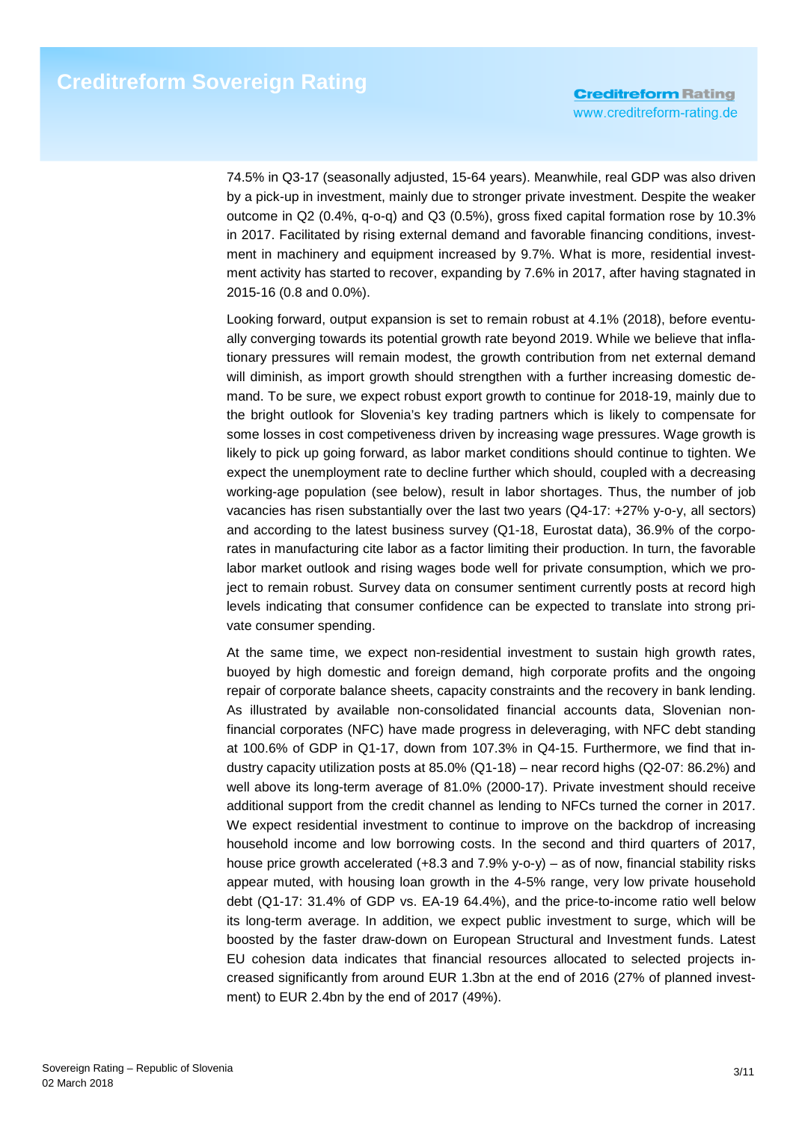74.5% in Q3-17 (seasonally adjusted, 15-64 years). Meanwhile, real GDP was also driven by a pick-up in investment, mainly due to stronger private investment. Despite the weaker outcome in Q2 (0.4%, q-o-q) and Q3 (0.5%), gross fixed capital formation rose by 10.3% in 2017. Facilitated by rising external demand and favorable financing conditions, investment in machinery and equipment increased by 9.7%. What is more, residential investment activity has started to recover, expanding by 7.6% in 2017, after having stagnated in 2015-16 (0.8 and 0.0%).

Looking forward, output expansion is set to remain robust at 4.1% (2018), before eventually converging towards its potential growth rate beyond 2019. While we believe that inflationary pressures will remain modest, the growth contribution from net external demand will diminish, as import growth should strengthen with a further increasing domestic demand. To be sure, we expect robust export growth to continue for 2018-19, mainly due to the bright outlook for Slovenia's key trading partners which is likely to compensate for some losses in cost competiveness driven by increasing wage pressures. Wage growth is likely to pick up going forward, as labor market conditions should continue to tighten. We expect the unemployment rate to decline further which should, coupled with a decreasing working-age population (see below), result in labor shortages. Thus, the number of job vacancies has risen substantially over the last two years (Q4-17: +27% y-o-y, all sectors) and according to the latest business survey (Q1-18, Eurostat data), 36.9% of the corporates in manufacturing cite labor as a factor limiting their production. In turn, the favorable labor market outlook and rising wages bode well for private consumption, which we project to remain robust. Survey data on consumer sentiment currently posts at record high levels indicating that consumer confidence can be expected to translate into strong private consumer spending.

At the same time, we expect non-residential investment to sustain high growth rates, buoyed by high domestic and foreign demand, high corporate profits and the ongoing repair of corporate balance sheets, capacity constraints and the recovery in bank lending. As illustrated by available non-consolidated financial accounts data, Slovenian nonfinancial corporates (NFC) have made progress in deleveraging, with NFC debt standing at 100.6% of GDP in Q1-17, down from 107.3% in Q4-15. Furthermore, we find that industry capacity utilization posts at 85.0% (Q1-18) – near record highs (Q2-07: 86.2%) and well above its long-term average of 81.0% (2000-17). Private investment should receive additional support from the credit channel as lending to NFCs turned the corner in 2017. We expect residential investment to continue to improve on the backdrop of increasing household income and low borrowing costs. In the second and third quarters of 2017, house price growth accelerated (+8.3 and 7.9% y-o-y) – as of now, financial stability risks appear muted, with housing loan growth in the 4-5% range, very low private household debt (Q1-17: 31.4% of GDP vs. EA-19 64.4%), and the price-to-income ratio well below its long-term average. In addition, we expect public investment to surge, which will be boosted by the faster draw-down on European Structural and Investment funds. Latest EU cohesion data indicates that financial resources allocated to selected projects increased significantly from around EUR 1.3bn at the end of 2016 (27% of planned investment) to EUR 2.4bn by the end of 2017 (49%).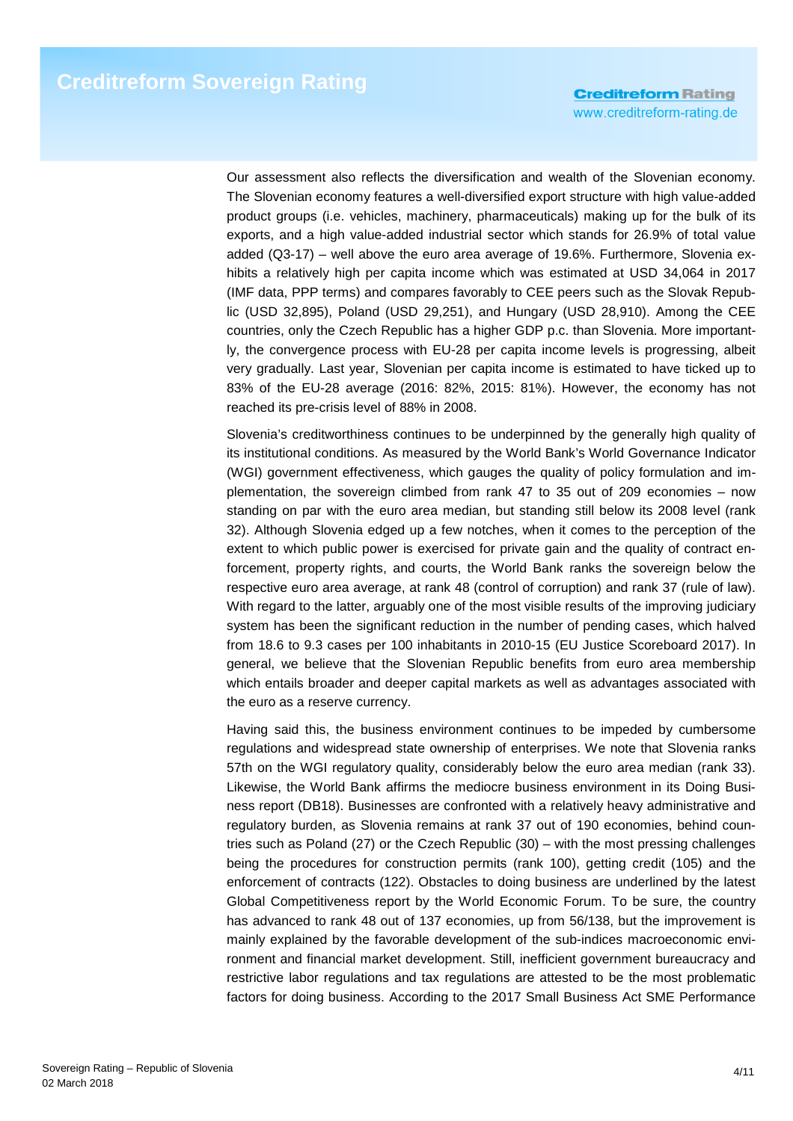Our assessment also reflects the diversification and wealth of the Slovenian economy. The Slovenian economy features a well-diversified export structure with high value-added product groups (i.e. vehicles, machinery, pharmaceuticals) making up for the bulk of its exports, and a high value-added industrial sector which stands for 26.9% of total value added (Q3-17) – well above the euro area average of 19.6%. Furthermore, Slovenia exhibits a relatively high per capita income which was estimated at USD 34,064 in 2017 (IMF data, PPP terms) and compares favorably to CEE peers such as the Slovak Republic (USD 32,895), Poland (USD 29,251), and Hungary (USD 28,910). Among the CEE countries, only the Czech Republic has a higher GDP p.c. than Slovenia. More importantly, the convergence process with EU-28 per capita income levels is progressing, albeit very gradually. Last year, Slovenian per capita income is estimated to have ticked up to 83% of the EU-28 average (2016: 82%, 2015: 81%). However, the economy has not reached its pre-crisis level of 88% in 2008.

Slovenia's creditworthiness continues to be underpinned by the generally high quality of its institutional conditions. As measured by the World Bank's World Governance Indicator (WGI) government effectiveness, which gauges the quality of policy formulation and implementation, the sovereign climbed from rank 47 to 35 out of 209 economies – now standing on par with the euro area median, but standing still below its 2008 level (rank 32). Although Slovenia edged up a few notches, when it comes to the perception of the extent to which public power is exercised for private gain and the quality of contract enforcement, property rights, and courts, the World Bank ranks the sovereign below the respective euro area average, at rank 48 (control of corruption) and rank 37 (rule of law). With regard to the latter, arguably one of the most visible results of the improving judiciary system has been the significant reduction in the number of pending cases, which halved from 18.6 to 9.3 cases per 100 inhabitants in 2010-15 (EU Justice Scoreboard 2017). In general, we believe that the Slovenian Republic benefits from euro area membership which entails broader and deeper capital markets as well as advantages associated with the euro as a reserve currency.

Having said this, the business environment continues to be impeded by cumbersome regulations and widespread state ownership of enterprises. We note that Slovenia ranks 57th on the WGI regulatory quality, considerably below the euro area median (rank 33). Likewise, the World Bank affirms the mediocre business environment in its Doing Business report (DB18). Businesses are confronted with a relatively heavy administrative and regulatory burden, as Slovenia remains at rank 37 out of 190 economies, behind countries such as Poland (27) or the Czech Republic (30) – with the most pressing challenges being the procedures for construction permits (rank 100), getting credit (105) and the enforcement of contracts (122). Obstacles to doing business are underlined by the latest Global Competitiveness report by the World Economic Forum. To be sure, the country has advanced to rank 48 out of 137 economies, up from 56/138, but the improvement is mainly explained by the favorable development of the sub-indices macroeconomic environment and financial market development. Still, inefficient government bureaucracy and restrictive labor regulations and tax regulations are attested to be the most problematic factors for doing business. According to the 2017 Small Business Act SME Performance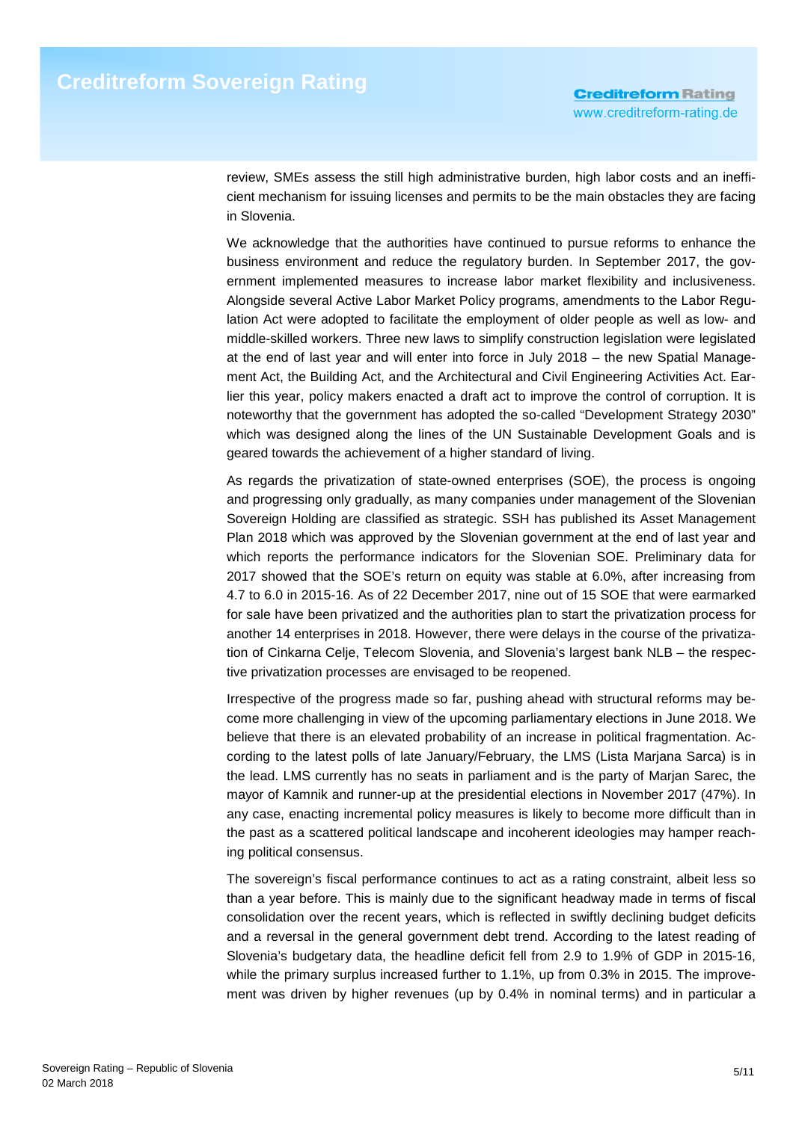review, SMEs assess the still high administrative burden, high labor costs and an inefficient mechanism for issuing licenses and permits to be the main obstacles they are facing in Slovenia.

We acknowledge that the authorities have continued to pursue reforms to enhance the business environment and reduce the regulatory burden. In September 2017, the government implemented measures to increase labor market flexibility and inclusiveness. Alongside several Active Labor Market Policy programs, amendments to the Labor Regulation Act were adopted to facilitate the employment of older people as well as low- and middle-skilled workers. Three new laws to simplify construction legislation were legislated at the end of last year and will enter into force in July 2018 – the new Spatial Management Act, the Building Act, and the Architectural and Civil Engineering Activities Act. Earlier this year, policy makers enacted a draft act to improve the control of corruption. It is noteworthy that the government has adopted the so-called "Development Strategy 2030" which was designed along the lines of the UN Sustainable Development Goals and is geared towards the achievement of a higher standard of living.

As regards the privatization of state-owned enterprises (SOE), the process is ongoing and progressing only gradually, as many companies under management of the Slovenian Sovereign Holding are classified as strategic. SSH has published its Asset Management Plan 2018 which was approved by the Slovenian government at the end of last year and which reports the performance indicators for the Slovenian SOE. Preliminary data for 2017 showed that the SOE's return on equity was stable at 6.0%, after increasing from 4.7 to 6.0 in 2015-16. As of 22 December 2017, nine out of 15 SOE that were earmarked for sale have been privatized and the authorities plan to start the privatization process for another 14 enterprises in 2018. However, there were delays in the course of the privatization of Cinkarna Celje, Telecom Slovenia, and Slovenia's largest bank NLB – the respective privatization processes are envisaged to be reopened.

Irrespective of the progress made so far, pushing ahead with structural reforms may become more challenging in view of the upcoming parliamentary elections in June 2018. We believe that there is an elevated probability of an increase in political fragmentation. According to the latest polls of late January/February, the LMS (Lista Marjana Sarca) is in the lead. LMS currently has no seats in parliament and is the party of Marjan Sarec, the mayor of Kamnik and runner-up at the presidential elections in November 2017 (47%). In any case, enacting incremental policy measures is likely to become more difficult than in the past as a scattered political landscape and incoherent ideologies may hamper reaching political consensus.

The sovereign's fiscal performance continues to act as a rating constraint, albeit less so than a year before. This is mainly due to the significant headway made in terms of fiscal consolidation over the recent years, which is reflected in swiftly declining budget deficits and a reversal in the general government debt trend. According to the latest reading of Slovenia's budgetary data, the headline deficit fell from 2.9 to 1.9% of GDP in 2015-16, while the primary surplus increased further to 1.1%, up from 0.3% in 2015. The improvement was driven by higher revenues (up by 0.4% in nominal terms) and in particular a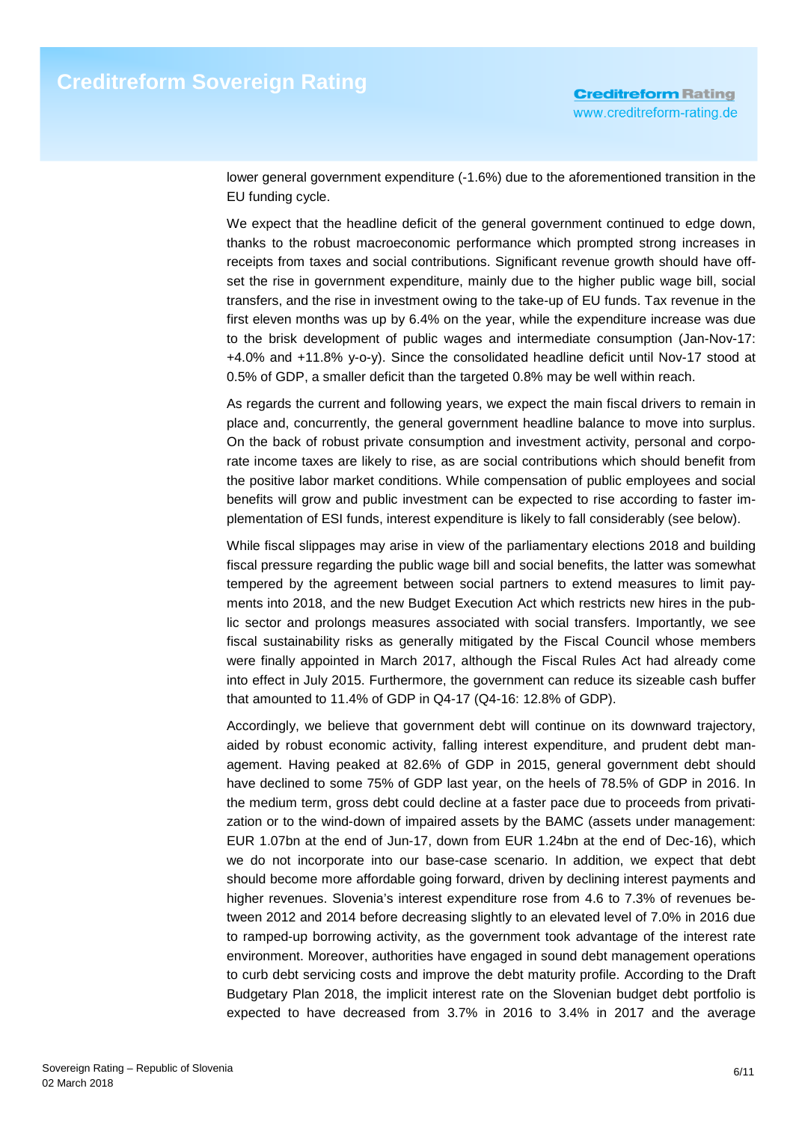lower general government expenditure (-1.6%) due to the aforementioned transition in the EU funding cycle.

We expect that the headline deficit of the general government continued to edge down, thanks to the robust macroeconomic performance which prompted strong increases in receipts from taxes and social contributions. Significant revenue growth should have offset the rise in government expenditure, mainly due to the higher public wage bill, social transfers, and the rise in investment owing to the take-up of EU funds. Tax revenue in the first eleven months was up by 6.4% on the year, while the expenditure increase was due to the brisk development of public wages and intermediate consumption (Jan-Nov-17: +4.0% and +11.8% y-o-y). Since the consolidated headline deficit until Nov-17 stood at 0.5% of GDP, a smaller deficit than the targeted 0.8% may be well within reach.

As regards the current and following years, we expect the main fiscal drivers to remain in place and, concurrently, the general government headline balance to move into surplus. On the back of robust private consumption and investment activity, personal and corporate income taxes are likely to rise, as are social contributions which should benefit from the positive labor market conditions. While compensation of public employees and social benefits will grow and public investment can be expected to rise according to faster implementation of ESI funds, interest expenditure is likely to fall considerably (see below).

While fiscal slippages may arise in view of the parliamentary elections 2018 and building fiscal pressure regarding the public wage bill and social benefits, the latter was somewhat tempered by the agreement between social partners to extend measures to limit payments into 2018, and the new Budget Execution Act which restricts new hires in the public sector and prolongs measures associated with social transfers. Importantly, we see fiscal sustainability risks as generally mitigated by the Fiscal Council whose members were finally appointed in March 2017, although the Fiscal Rules Act had already come into effect in July 2015. Furthermore, the government can reduce its sizeable cash buffer that amounted to 11.4% of GDP in Q4-17 (Q4-16: 12.8% of GDP).

Accordingly, we believe that government debt will continue on its downward trajectory, aided by robust economic activity, falling interest expenditure, and prudent debt management. Having peaked at 82.6% of GDP in 2015, general government debt should have declined to some 75% of GDP last year, on the heels of 78.5% of GDP in 2016. In the medium term, gross debt could decline at a faster pace due to proceeds from privatization or to the wind-down of impaired assets by the BAMC (assets under management: EUR 1.07bn at the end of Jun-17, down from EUR 1.24bn at the end of Dec-16), which we do not incorporate into our base-case scenario. In addition, we expect that debt should become more affordable going forward, driven by declining interest payments and higher revenues. Slovenia's interest expenditure rose from 4.6 to 7.3% of revenues between 2012 and 2014 before decreasing slightly to an elevated level of 7.0% in 2016 due to ramped-up borrowing activity, as the government took advantage of the interest rate environment. Moreover, authorities have engaged in sound debt management operations to curb debt servicing costs and improve the debt maturity profile. According to the Draft Budgetary Plan 2018, the implicit interest rate on the Slovenian budget debt portfolio is expected to have decreased from 3.7% in 2016 to 3.4% in 2017 and the average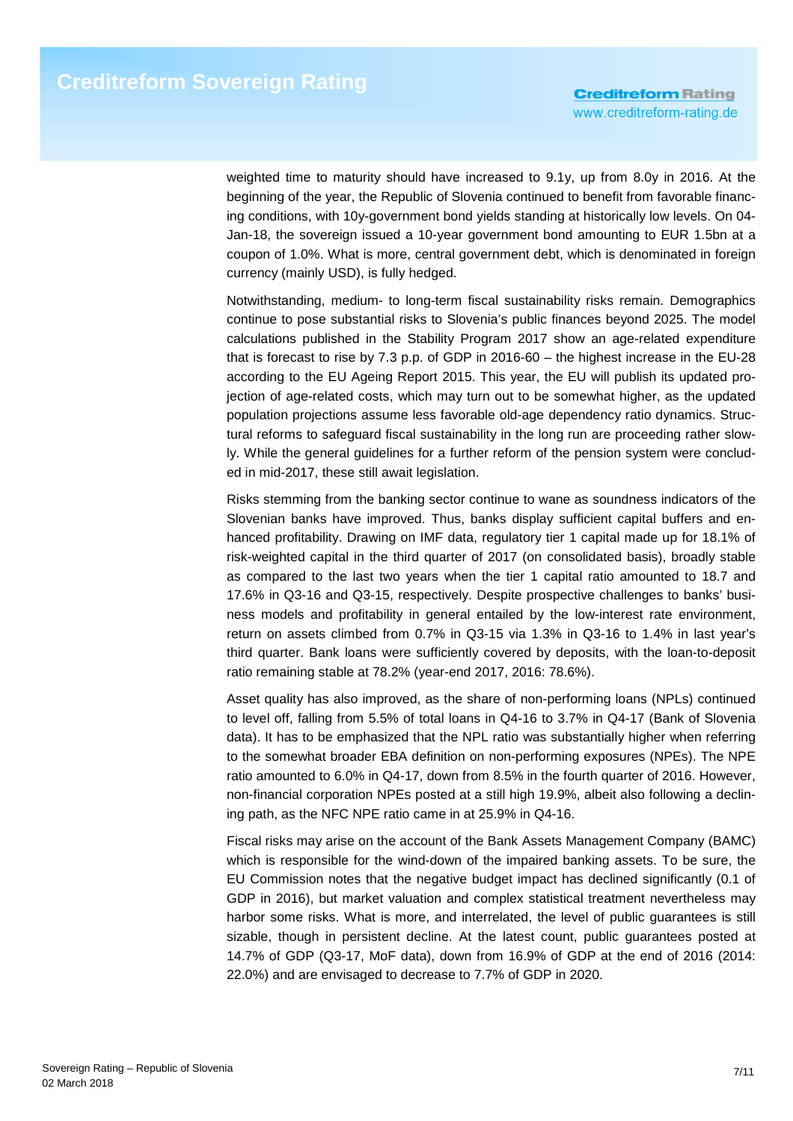weighted time to maturity should have increased to 9.1y, up from 8.0y in 2016. At the beginning of the year, the Republic of Slovenia continued to benefit from favorable financing conditions, with 10y-government bond yields standing at historically low levels. On 04- Jan-18, the sovereign issued a 10-year government bond amounting to EUR 1.5bn at a coupon of 1.0%. What is more, central government debt, which is denominated in foreign currency (mainly USD), is fully hedged.

Notwithstanding, medium- to long-term fiscal sustainability risks remain. Demographics continue to pose substantial risks to Slovenia's public finances beyond 2025. The model calculations published in the Stability Program 2017 show an age-related expenditure that is forecast to rise by 7.3 p.p. of GDP in 2016-60 – the highest increase in the EU-28 according to the EU Ageing Report 2015. This year, the EU will publish its updated projection of age-related costs, which may turn out to be somewhat higher, as the updated population projections assume less favorable old-age dependency ratio dynamics. Structural reforms to safeguard fiscal sustainability in the long run are proceeding rather slowly. While the general guidelines for a further reform of the pension system were concluded in mid-2017, these still await legislation.

Risks stemming from the banking sector continue to wane as soundness indicators of the Slovenian banks have improved. Thus, banks display sufficient capital buffers and enhanced profitability. Drawing on IMF data, regulatory tier 1 capital made up for 18.1% of risk-weighted capital in the third quarter of 2017 (on consolidated basis), broadly stable as compared to the last two years when the tier 1 capital ratio amounted to 18.7 and 17.6% in Q3-16 and Q3-15, respectively. Despite prospective challenges to banks' business models and profitability in general entailed by the low-interest rate environment, return on assets climbed from 0.7% in Q3-15 via 1.3% in Q3-16 to 1.4% in last year's third quarter. Bank loans were sufficiently covered by deposits, with the loan-to-deposit ratio remaining stable at 78.2% (year-end 2017, 2016: 78.6%).

Asset quality has also improved, as the share of non-performing loans (NPLs) continued to level off, falling from 5.5% of total loans in Q4-16 to 3.7% in Q4-17 (Bank of Slovenia data). It has to be emphasized that the NPL ratio was substantially higher when referring to the somewhat broader EBA definition on non-performing exposures (NPEs). The NPE ratio amounted to 6.0% in Q4-17, down from 8.5% in the fourth quarter of 2016. However, non-financial corporation NPEs posted at a still high 19.9%, albeit also following a declining path, as the NFC NPE ratio came in at 25.9% in Q4-16.

Fiscal risks may arise on the account of the Bank Assets Management Company (BAMC) which is responsible for the wind-down of the impaired banking assets. To be sure, the EU Commission notes that the negative budget impact has declined significantly (0.1 of GDP in 2016), but market valuation and complex statistical treatment nevertheless may harbor some risks. What is more, and interrelated, the level of public guarantees is still sizable, though in persistent decline. At the latest count, public guarantees posted at 14.7% of GDP (Q3-17, MoF data), down from 16.9% of GDP at the end of 2016 (2014: 22.0%) and are envisaged to decrease to 7.7% of GDP in 2020.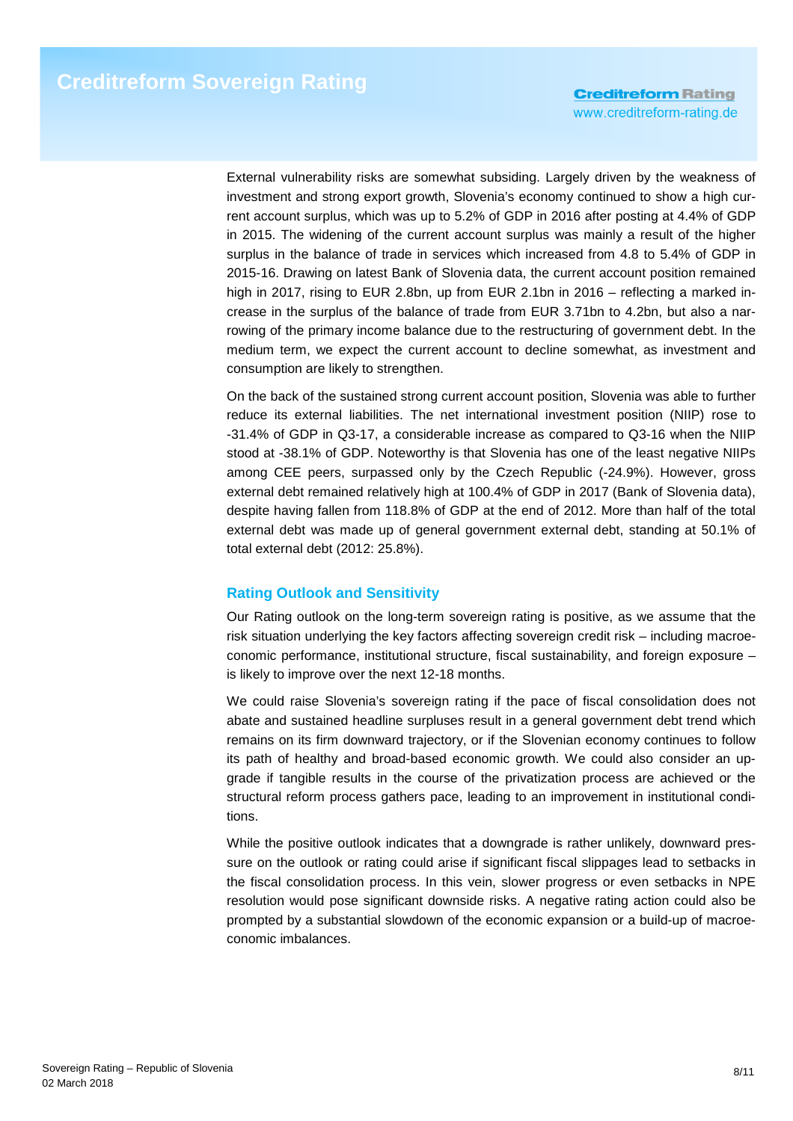External vulnerability risks are somewhat subsiding. Largely driven by the weakness of investment and strong export growth, Slovenia's economy continued to show a high current account surplus, which was up to 5.2% of GDP in 2016 after posting at 4.4% of GDP in 2015. The widening of the current account surplus was mainly a result of the higher surplus in the balance of trade in services which increased from 4.8 to 5.4% of GDP in 2015-16. Drawing on latest Bank of Slovenia data, the current account position remained high in 2017, rising to EUR 2.8bn, up from EUR 2.1bn in 2016 – reflecting a marked increase in the surplus of the balance of trade from EUR 3.71bn to 4.2bn, but also a narrowing of the primary income balance due to the restructuring of government debt. In the medium term, we expect the current account to decline somewhat, as investment and consumption are likely to strengthen.

On the back of the sustained strong current account position, Slovenia was able to further reduce its external liabilities. The net international investment position (NIIP) rose to -31.4% of GDP in Q3-17, a considerable increase as compared to Q3-16 when the NIIP stood at -38.1% of GDP. Noteworthy is that Slovenia has one of the least negative NIIPs among CEE peers, surpassed only by the Czech Republic (-24.9%). However, gross external debt remained relatively high at 100.4% of GDP in 2017 (Bank of Slovenia data), despite having fallen from 118.8% of GDP at the end of 2012. More than half of the total external debt was made up of general government external debt, standing at 50.1% of total external debt (2012: 25.8%).

### **Rating Outlook and Sensitivity**

Our Rating outlook on the long-term sovereign rating is positive, as we assume that the risk situation underlying the key factors affecting sovereign credit risk – including macroeconomic performance, institutional structure, fiscal sustainability, and foreign exposure – is likely to improve over the next 12-18 months.

We could raise Slovenia's sovereign rating if the pace of fiscal consolidation does not abate and sustained headline surpluses result in a general government debt trend which remains on its firm downward trajectory, or if the Slovenian economy continues to follow its path of healthy and broad-based economic growth. We could also consider an upgrade if tangible results in the course of the privatization process are achieved or the structural reform process gathers pace, leading to an improvement in institutional conditions.

While the positive outlook indicates that a downgrade is rather unlikely, downward pressure on the outlook or rating could arise if significant fiscal slippages lead to setbacks in the fiscal consolidation process. In this vein, slower progress or even setbacks in NPE resolution would pose significant downside risks. A negative rating action could also be prompted by a substantial slowdown of the economic expansion or a build-up of macroeconomic imbalances.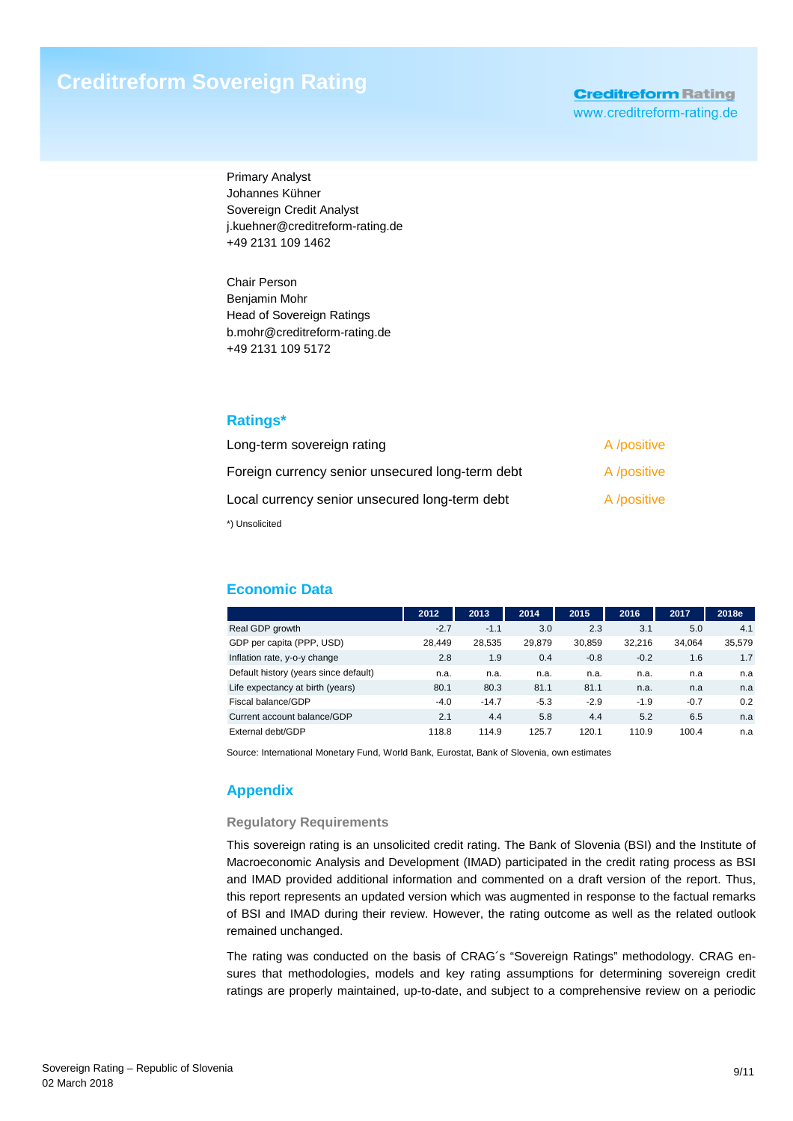# **Creditreform Sovereign Rating**

**Creditreform Rating** www.creditreform-rating.de

Primary Analyst Johannes Kühner Sovereign Credit Analyst j.kuehner@creditreform-rating.de +49 2131 109 1462

Chair Person Benjamin Mohr Head of Sovereign Ratings b.mohr@creditreform-rating.de +49 2131 109 5172

#### **Ratings\***

| Long-term sovereign rating                       | A /positive |
|--------------------------------------------------|-------------|
| Foreign currency senior unsecured long-term debt | A /positive |
| Local currency senior unsecured long-term debt   | A /positive |
| *) Unsolicited                                   |             |

### **Economic Data**

|                                       | 2012   | 2013    | 2014   | 2015   | 2016   | 2017   | 2018e  |
|---------------------------------------|--------|---------|--------|--------|--------|--------|--------|
| Real GDP growth                       | $-2.7$ | $-1.1$  | 3.0    | 2.3    | 3.1    | 5.0    | 4.1    |
| GDP per capita (PPP, USD)             | 28.449 | 28.535  | 29,879 | 30.859 | 32.216 | 34.064 | 35,579 |
| Inflation rate, y-o-y change          | 2.8    | 1.9     | 0.4    | $-0.8$ | $-0.2$ | 1.6    | 1.7    |
| Default history (years since default) | n.a.   | n.a.    | n.a.   | n.a.   | n.a.   | n.a    | n.a    |
| Life expectancy at birth (years)      | 80.1   | 80.3    | 81.1   | 81.1   | n.a.   | n.a    | n.a    |
| Fiscal balance/GDP                    | $-4.0$ | $-14.7$ | $-5.3$ | $-2.9$ | $-1.9$ | $-0.7$ | 0.2    |
| Current account balance/GDP           | 2.1    | 4.4     | 5.8    | 4.4    | 5.2    | 6.5    | n.a    |
| External debt/GDP                     | 118.8  | 114.9   | 125.7  | 120.1  | 110.9  | 100.4  | n.a    |

Source: International Monetary Fund, World Bank, Eurostat, Bank of Slovenia, own estimates

### **Appendix**

#### **Regulatory Requirements**

This sovereign rating is an unsolicited credit rating. The Bank of Slovenia (BSI) and the Institute of Macroeconomic Analysis and Development (IMAD) participated in the credit rating process as BSI and IMAD provided additional information and commented on a draft version of the report. Thus, this report represents an updated version which was augmented in response to the factual remarks of BSI and IMAD during their review. However, the rating outcome as well as the related outlook remained unchanged.

The rating was conducted on the basis of CRAG´s "Sovereign Ratings" methodology. CRAG ensures that methodologies, models and key rating assumptions for determining sovereign credit ratings are properly maintained, up-to-date, and subject to a comprehensive review on a periodic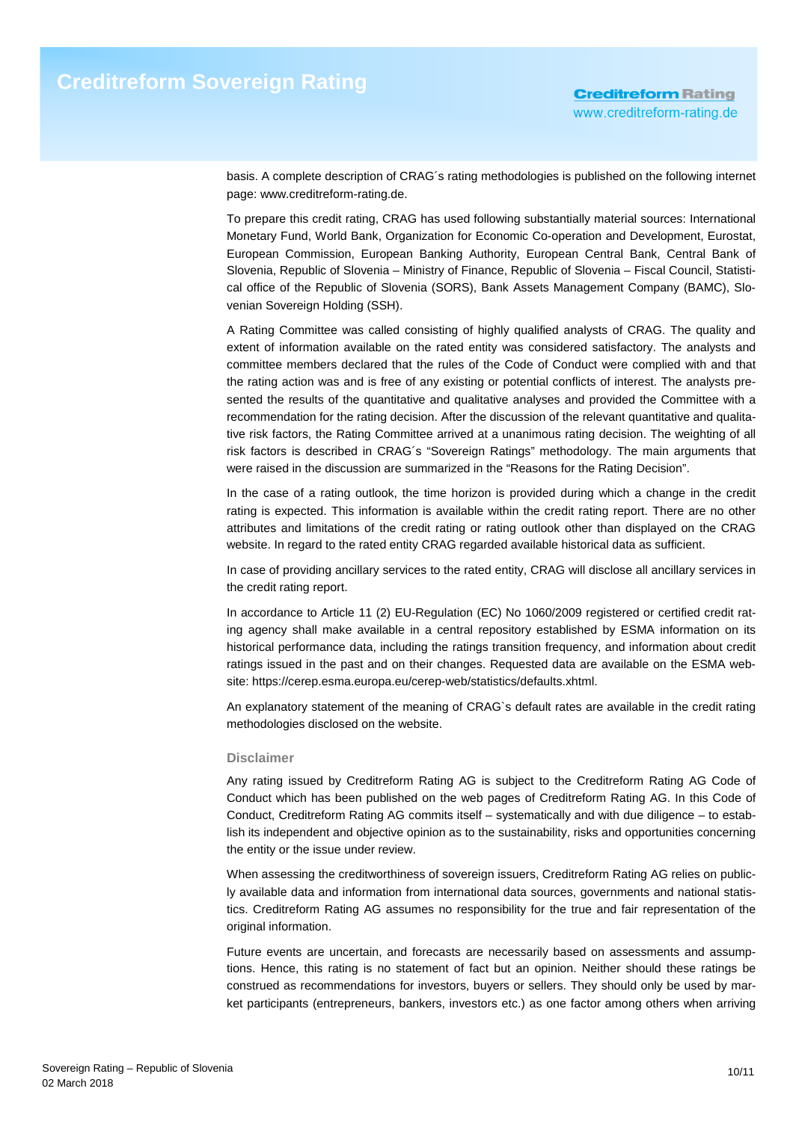basis. A complete description of CRAG´s rating methodologies is published on the following internet page: www.creditreform-rating.de.

To prepare this credit rating, CRAG has used following substantially material sources: International Monetary Fund, World Bank, Organization for Economic Co-operation and Development, Eurostat, European Commission, European Banking Authority, European Central Bank, Central Bank of Slovenia, Republic of Slovenia – Ministry of Finance, Republic of Slovenia – Fiscal Council, Statistical office of the Republic of Slovenia (SORS), Bank Assets Management Company (BAMC), Slovenian Sovereign Holding (SSH).

A Rating Committee was called consisting of highly qualified analysts of CRAG. The quality and extent of information available on the rated entity was considered satisfactory. The analysts and committee members declared that the rules of the Code of Conduct were complied with and that the rating action was and is free of any existing or potential conflicts of interest. The analysts presented the results of the quantitative and qualitative analyses and provided the Committee with a recommendation for the rating decision. After the discussion of the relevant quantitative and qualitative risk factors, the Rating Committee arrived at a unanimous rating decision. The weighting of all risk factors is described in CRAG´s "Sovereign Ratings" methodology. The main arguments that were raised in the discussion are summarized in the "Reasons for the Rating Decision".

In the case of a rating outlook, the time horizon is provided during which a change in the credit rating is expected. This information is available within the credit rating report. There are no other attributes and limitations of the credit rating or rating outlook other than displayed on the CRAG website. In regard to the rated entity CRAG regarded available historical data as sufficient.

In case of providing ancillary services to the rated entity, CRAG will disclose all ancillary services in the credit rating report.

In accordance to Article 11 (2) EU-Regulation (EC) No 1060/2009 registered or certified credit rating agency shall make available in a central repository established by ESMA information on its historical performance data, including the ratings transition frequency, and information about credit ratings issued in the past and on their changes. Requested data are available on the ESMA website: https://cerep.esma.europa.eu/cerep-web/statistics/defaults.xhtml.

An explanatory statement of the meaning of CRAG`s default rates are available in the credit rating methodologies disclosed on the website.

#### **Disclaimer**

Any rating issued by Creditreform Rating AG is subject to the Creditreform Rating AG Code of Conduct which has been published on the web pages of Creditreform Rating AG. In this Code of Conduct, Creditreform Rating AG commits itself – systematically and with due diligence – to establish its independent and objective opinion as to the sustainability, risks and opportunities concerning the entity or the issue under review.

When assessing the creditworthiness of sovereign issuers, Creditreform Rating AG relies on publicly available data and information from international data sources, governments and national statistics. Creditreform Rating AG assumes no responsibility for the true and fair representation of the original information.

Future events are uncertain, and forecasts are necessarily based on assessments and assumptions. Hence, this rating is no statement of fact but an opinion. Neither should these ratings be construed as recommendations for investors, buyers or sellers. They should only be used by market participants (entrepreneurs, bankers, investors etc.) as one factor among others when arriving